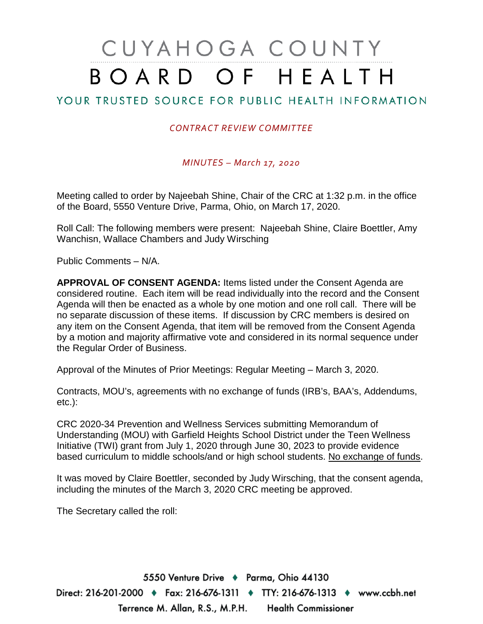# CUYAHOGA COUNTY BOARD OF HEALTH

# YOUR TRUSTED SOURCE FOR PUBLIC HEALTH INFORMATION

### *CONTRACT REVIEW COMMITTEE*

*MINUTES – March 17, 2020*

Meeting called to order by Najeebah Shine, Chair of the CRC at 1:32 p.m. in the office of the Board, 5550 Venture Drive, Parma, Ohio, on March 17, 2020.

Roll Call: The following members were present: Najeebah Shine, Claire Boettler, Amy Wanchisn, Wallace Chambers and Judy Wirsching

Public Comments – N/A.

**APPROVAL OF CONSENT AGENDA:** Items listed under the Consent Agenda are considered routine. Each item will be read individually into the record and the Consent Agenda will then be enacted as a whole by one motion and one roll call. There will be no separate discussion of these items. If discussion by CRC members is desired on any item on the Consent Agenda, that item will be removed from the Consent Agenda by a motion and majority affirmative vote and considered in its normal sequence under the Regular Order of Business.

Approval of the Minutes of Prior Meetings: Regular Meeting – March 3, 2020.

Contracts, MOU's, agreements with no exchange of funds (IRB's, BAA's, Addendums, etc.):

CRC 2020-34 Prevention and Wellness Services submitting Memorandum of Understanding (MOU) with Garfield Heights School District under the Teen Wellness Initiative (TWI) grant from July 1, 2020 through June 30, 2023 to provide evidence based curriculum to middle schools/and or high school students. No exchange of funds.

It was moved by Claire Boettler, seconded by Judy Wirsching, that the consent agenda, including the minutes of the March 3, 2020 CRC meeting be approved.

The Secretary called the roll:

5550 Venture Drive + Parma, Ohio 44130 Direct: 216-201-2000 ♦ Fax: 216-676-1311 ♦ TTY: 216-676-1313 ♦ www.ccbh.net Terrence M. Allan, R.S., M.P.H. Health Commissioner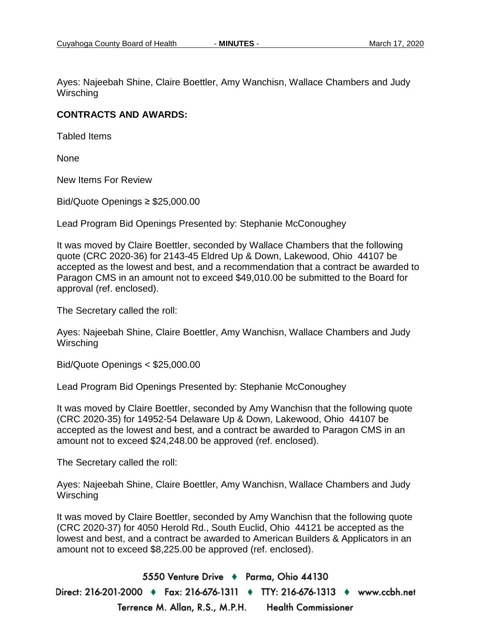Ayes: Najeebah Shine, Claire Boettler, Amy Wanchisn, Wallace Chambers and Judy **Wirsching** 

### **CONTRACTS AND AWARDS:**

Tabled Items

None

New Items For Review

Bid/Quote Openings ≥ \$25,000.00

Lead Program Bid Openings Presented by: Stephanie McConoughey

It was moved by Claire Boettler, seconded by Wallace Chambers that the following quote (CRC 2020-36) for 2143-45 Eldred Up & Down, Lakewood, Ohio 44107 be accepted as the lowest and best, and a recommendation that a contract be awarded to Paragon CMS in an amount not to exceed \$49,010.00 be submitted to the Board for approval (ref. enclosed).

The Secretary called the roll:

Ayes: Najeebah Shine, Claire Boettler, Amy Wanchisn, Wallace Chambers and Judy **Wirsching** 

Bid/Quote Openings < \$25,000.00

Lead Program Bid Openings Presented by: Stephanie McConoughey

It was moved by Claire Boettler, seconded by Amy Wanchisn that the following quote (CRC 2020-35) for 14952-54 Delaware Up & Down, Lakewood, Ohio 44107 be accepted as the lowest and best, and a contract be awarded to Paragon CMS in an amount not to exceed \$24,248.00 be approved (ref. enclosed).

The Secretary called the roll:

Ayes: Najeebah Shine, Claire Boettler, Amy Wanchisn, Wallace Chambers and Judy **Wirsching** 

It was moved by Claire Boettler, seconded by Amy Wanchisn that the following quote (CRC 2020-37) for 4050 Herold Rd., South Euclid, Ohio 44121 be accepted as the lowest and best, and a contract be awarded to American Builders & Applicators in an amount not to exceed \$8,225.00 be approved (ref. enclosed).

5550 Venture Drive + Parma, Ohio 44130 Direct: 216-201-2000 ♦ Fax: 216-676-1311 ♦ TTY: 216-676-1313 ♦ www.ccbh.net Terrence M. Allan, R.S., M.P.H. **Health Commissioner**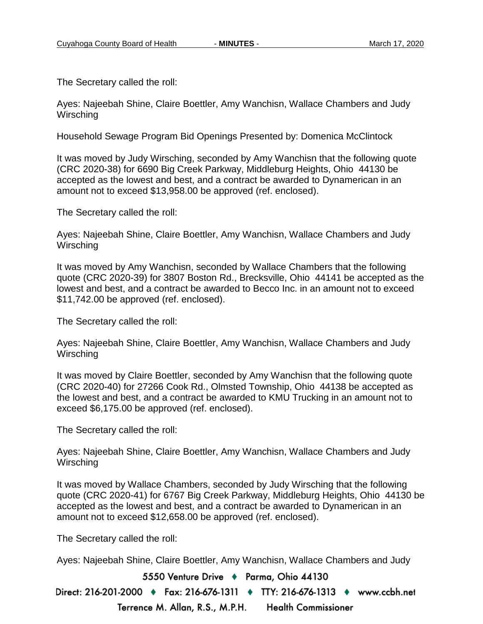The Secretary called the roll:

Ayes: Najeebah Shine, Claire Boettler, Amy Wanchisn, Wallace Chambers and Judy **Wirsching** 

Household Sewage Program Bid Openings Presented by: Domenica McClintock

It was moved by Judy Wirsching, seconded by Amy Wanchisn that the following quote (CRC 2020-38) for 6690 Big Creek Parkway, Middleburg Heights, Ohio 44130 be accepted as the lowest and best, and a contract be awarded to Dynamerican in an amount not to exceed \$13,958.00 be approved (ref. enclosed).

The Secretary called the roll:

Ayes: Najeebah Shine, Claire Boettler, Amy Wanchisn, Wallace Chambers and Judy **Wirsching** 

It was moved by Amy Wanchisn, seconded by Wallace Chambers that the following quote (CRC 2020-39) for 3807 Boston Rd., Brecksville, Ohio 44141 be accepted as the lowest and best, and a contract be awarded to Becco Inc. in an amount not to exceed \$11,742.00 be approved (ref. enclosed).

The Secretary called the roll:

Ayes: Najeebah Shine, Claire Boettler, Amy Wanchisn, Wallace Chambers and Judy **Wirsching** 

It was moved by Claire Boettler, seconded by Amy Wanchisn that the following quote (CRC 2020-40) for 27266 Cook Rd., Olmsted Township, Ohio 44138 be accepted as the lowest and best, and a contract be awarded to KMU Trucking in an amount not to exceed \$6,175.00 be approved (ref. enclosed).

The Secretary called the roll:

Ayes: Najeebah Shine, Claire Boettler, Amy Wanchisn, Wallace Chambers and Judy **Wirsching** 

It was moved by Wallace Chambers, seconded by Judy Wirsching that the following quote (CRC 2020-41) for 6767 Big Creek Parkway, Middleburg Heights, Ohio 44130 be accepted as the lowest and best, and a contract be awarded to Dynamerican in an amount not to exceed \$12,658.00 be approved (ref. enclosed).

The Secretary called the roll:

Ayes: Najeebah Shine, Claire Boettler, Amy Wanchisn, Wallace Chambers and Judy

5550 Venture Drive + Parma, Ohio 44130

Direct: 216-201-2000 ♦ Fax: 216-676-1311 ♦ TTY: 216-676-1313 ♦ www.ccbh.net Terrence M. Allan, R.S., M.P.H. **Health Commissioner**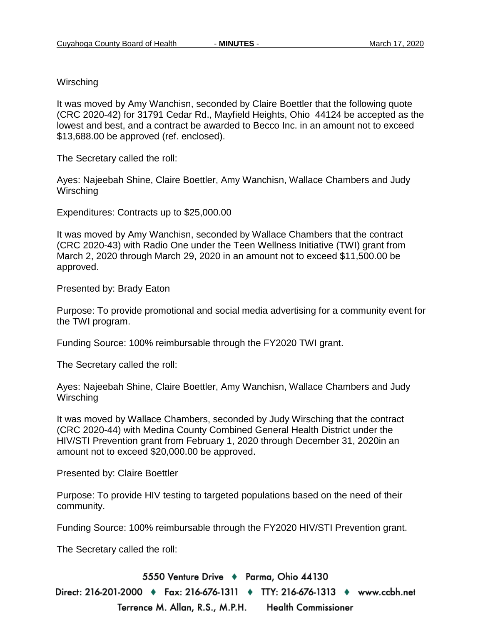**Wirsching** 

It was moved by Amy Wanchisn, seconded by Claire Boettler that the following quote (CRC 2020-42) for 31791 Cedar Rd., Mayfield Heights, Ohio 44124 be accepted as the lowest and best, and a contract be awarded to Becco Inc. in an amount not to exceed \$13,688.00 be approved (ref. enclosed).

The Secretary called the roll:

Ayes: Najeebah Shine, Claire Boettler, Amy Wanchisn, Wallace Chambers and Judy **Wirsching** 

Expenditures: Contracts up to \$25,000.00

It was moved by Amy Wanchisn, seconded by Wallace Chambers that the contract (CRC 2020-43) with Radio One under the Teen Wellness Initiative (TWI) grant from March 2, 2020 through March 29, 2020 in an amount not to exceed \$11,500.00 be approved.

Presented by: Brady Eaton

Purpose: To provide promotional and social media advertising for a community event for the TWI program.

Funding Source: 100% reimbursable through the FY2020 TWI grant.

The Secretary called the roll:

Ayes: Najeebah Shine, Claire Boettler, Amy Wanchisn, Wallace Chambers and Judy **Wirsching** 

It was moved by Wallace Chambers, seconded by Judy Wirsching that the contract (CRC 2020-44) with Medina County Combined General Health District under the HIV/STI Prevention grant from February 1, 2020 through December 31, 2020in an amount not to exceed \$20,000.00 be approved.

Presented by: Claire Boettler

Purpose: To provide HIV testing to targeted populations based on the need of their community.

Funding Source: 100% reimbursable through the FY2020 HIV/STI Prevention grant.

The Secretary called the roll:

5550 Venture Drive + Parma, Ohio 44130

Direct: 216-201-2000 ♦ Fax: 216-676-1311 ♦ TTY: 216-676-1313 ♦ www.ccbh.net Terrence M. Allan, R.S., M.P.H. Health Commissioner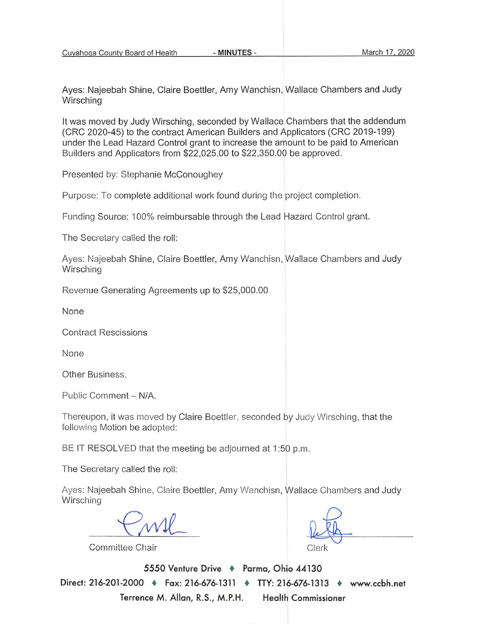- MINUTES -

Aves: Najeebah Shine, Claire Boettler, Amy Wanchisn, Wallace Chambers and Judy Wirsching

It was moved by Judy Wirsching, seconded by Wallace Chambers that the addendum (CRC 2020-45) to the contract American Builders and Applicators (CRC 2019-199) under the Lead Hazard Control grant to increase the amount to be paid to American Builders and Applicators from \$22,025.00 to \$22,350.00 be approved.

Presented by: Stephanie McConoughey

Purpose: To complete additional work found during the project completion.

Funding Source: 100% reimbursable through the Lead Hazard Control grant.

The Secretary called the roll:

Ayes: Najeebah Shine, Claire Boettler, Amy Wanchisn, Wallace Chambers and Judy Wirsching

Revenue Generating Agreements up to \$25,000.00

None

**Contract Rescissions** 

None

Other Business.

Public Comment - N/A.

Thereupon, it was moved by Claire Boettler, seconded by Judy Wirsching, that the following Motion be adopted:

BE IT RESOLVED that the meeting be adjourned at 1:50 p.m.

The Secretary called the roll:

Ayes: Najeebah Shine, Claire Boettler, Amy Wanchisn, Wallace Chambers and Judy Wirsching

Committee Chair

Clerk

5550 Venture Drive + Parma, Ohio 44130 Direct: 216-201-2000 + Fax: 216-676-1311 + TTY: 216-676-1313 + www.ccbh.net **Health Commissioner** Terrence M. Allan, R.S., M.P.H.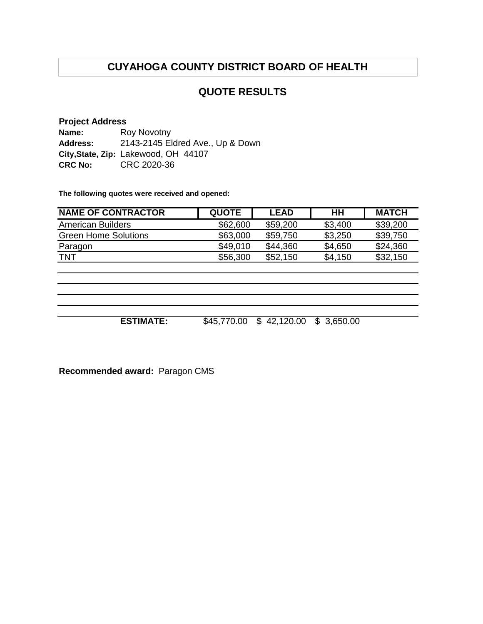### **QUOTE RESULTS**

#### **Project Address Name: Address: City,State, Zip:** Lakewood, OH 44107 **CRC No:** CRC 2020-36 Roy Novotny 2143-2145 Eldred Ave., Up & Down

**The following quotes were received and opened:**

| <b>NAME OF CONTRACTOR</b>   | <b>QUOTE</b> | <b>LEAD</b> | HН      | <b>MATCH</b> |
|-----------------------------|--------------|-------------|---------|--------------|
| American Builders           | \$62,600     | \$59,200    | \$3,400 | \$39,200     |
| <b>Green Home Solutions</b> | \$63,000     | \$59,750    | \$3,250 | \$39,750     |
| Paragon                     | \$49,010     | \$44,360    | \$4,650 | \$24,360     |
| <b>TNT</b>                  | \$56,300     | \$52,150    | \$4,150 | \$32,150     |

**ESTIMATE:** \$45,770.00 \$ 42,120.00 \$ 3,650.00

**Recommended award:** Paragon CMS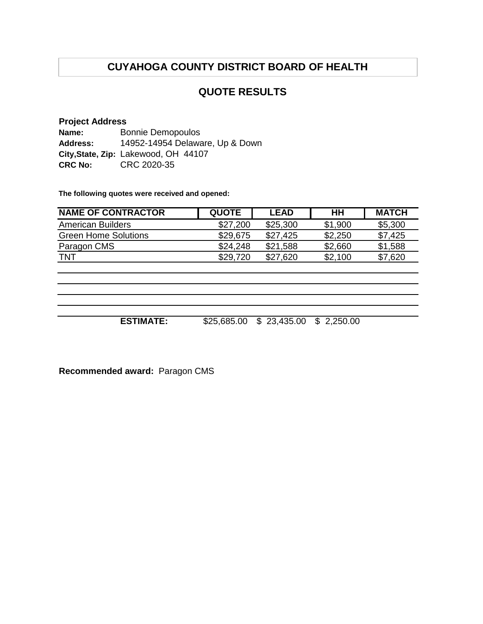## **QUOTE RESULTS**

#### **Project Address Name: Address: City,State, Zip:** Lakewood, OH 44107 **CRC No:** CRC 2020-35 Bonnie Demopoulos 14952-14954 Delaware, Up & Down

**The following quotes were received and opened:**

| <b>NAME OF CONTRACTOR</b>   | <b>QUOTE</b> | <b>LEAD</b> | HН      | <b>MATCH</b> |
|-----------------------------|--------------|-------------|---------|--------------|
| American Builders           | \$27,200     | \$25,300    | \$1,900 | \$5,300      |
| <b>Green Home Solutions</b> | \$29,675     | \$27.425    | \$2,250 | \$7,425      |
| Paragon CMS                 | \$24.248     | \$21,588    | \$2,660 | \$1,588      |
| <b>TNT</b>                  | \$29,720     | \$27.620    | \$2,100 | \$7,620      |

**ESTIMATE:** \$25,685.00 \$ 23,435.00 \$ 2,250.00

**Recommended award:** Paragon CMS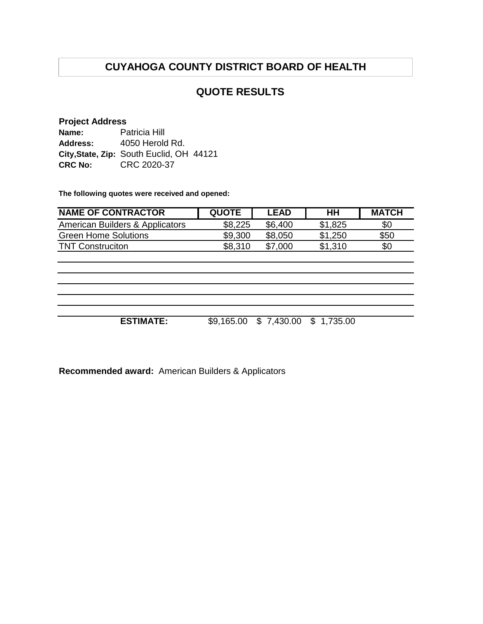### **QUOTE RESULTS**

### **Project Address**

| Name:           | Patricia Hill                            |
|-----------------|------------------------------------------|
| <b>Address:</b> | 4050 Herold Rd.                          |
|                 | City, State, Zip: South Euclid, OH 44121 |
| <b>CRC No:</b>  | CRC 2020-37                              |

**The following quotes were received and opened:**

| <b>NAME OF CONTRACTOR</b>       | <b>QUOTE</b> | <b>LEAD</b> | HH         | <b>MATCH</b> |
|---------------------------------|--------------|-------------|------------|--------------|
| American Builders & Applicators | \$8,225      | \$6,400     | \$1,825    | \$0          |
| <b>Green Home Solutions</b>     | \$9,300      | \$8,050     | \$1,250    | \$50         |
| <b>TNT Construciton</b>         | \$8,310      | \$7,000     | \$1,310    | \$0          |
|                                 |              |             |            |              |
|                                 |              |             |            |              |
|                                 |              |             |            |              |
|                                 |              |             |            |              |
|                                 |              |             |            |              |
|                                 |              |             |            |              |
| <b>ESTIMATE:</b>                | \$9,165.00   | \$7,430.00  | \$1,735.00 |              |

**Recommended award:** American Builders & Applicators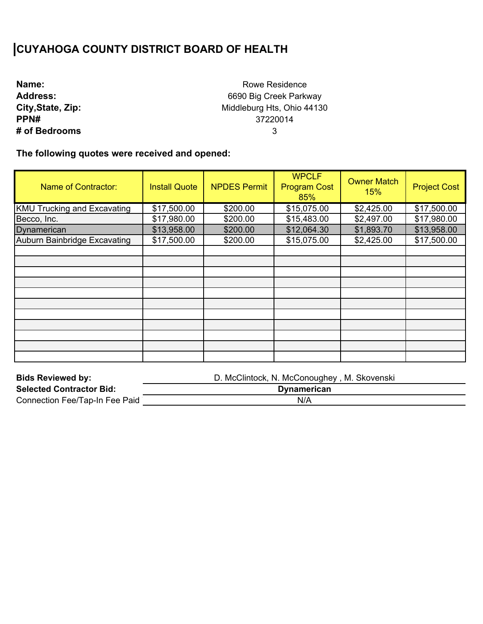| Name:             |
|-------------------|
| <b>Address:</b>   |
| City, State, Zip: |
| PPN#              |
| # of Bedrooms     |

Rowe Residence 6690 Big Creek Parkway Middleburg Hts, Ohio 44130 37220014 3

| <b>Name of Contractor:</b>         | <b>Install Quote</b> | <b>NPDES Permit</b> | <b>WPCLF</b><br><b>Program Cost</b><br>85% | <b>Owner Match</b><br>15% | <b>Project Cost</b> |
|------------------------------------|----------------------|---------------------|--------------------------------------------|---------------------------|---------------------|
| <b>KMU Trucking and Excavating</b> | \$17,500.00          | \$200.00            | \$15,075.00                                | \$2,425.00                | \$17,500.00         |
| Becco, Inc.                        | \$17,980.00          | \$200.00            | \$15,483.00                                | \$2,497.00                | \$17,980.00         |
| Dynamerican                        | \$13,958.00          | \$200.00            | \$12,064.30                                | \$1,893.70                | \$13,958.00         |
| Auburn Bainbridge Excavating       | \$17,500.00          | \$200.00            | \$15,075.00                                | \$2,425.00                | \$17,500.00         |
|                                    |                      |                     |                                            |                           |                     |
|                                    |                      |                     |                                            |                           |                     |
|                                    |                      |                     |                                            |                           |                     |
|                                    |                      |                     |                                            |                           |                     |
|                                    |                      |                     |                                            |                           |                     |
|                                    |                      |                     |                                            |                           |                     |
|                                    |                      |                     |                                            |                           |                     |
|                                    |                      |                     |                                            |                           |                     |
|                                    |                      |                     |                                            |                           |                     |
|                                    |                      |                     |                                            |                           |                     |
|                                    |                      |                     |                                            |                           |                     |

| <b>Bids Reviewed by:</b>        | D. McClintock, N. McConoughey, M. Skovenski |
|---------------------------------|---------------------------------------------|
| <b>Selected Contractor Bid:</b> | <b>Dynamerican</b>                          |
| Connection Fee/Tap-In Fee Paid  | N/A                                         |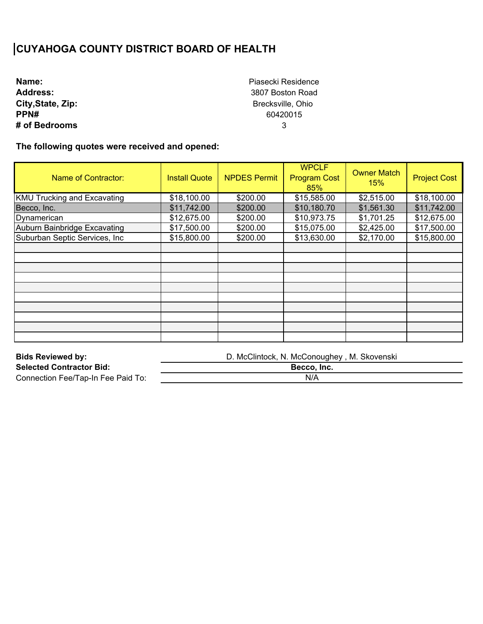**Name: Address: City,State, Zip: PPN# # of Bedrooms** Piasecki Residence 3807 Boston Road Brecksville, Ohio 60420015 3

| Name of Contractor:                | <b>Install Quote</b> | <b>NPDES Permit</b> | <b>WPCLF</b><br><b>Program Cost</b><br>85% | <b>Owner Match</b><br>15% | <b>Project Cost</b> |
|------------------------------------|----------------------|---------------------|--------------------------------------------|---------------------------|---------------------|
| <b>KMU Trucking and Excavating</b> | \$18,100.00          | \$200.00            | \$15,585.00                                | \$2,515.00                | \$18,100.00         |
| Becco, Inc.                        | \$11,742.00          | \$200.00            | \$10,180.70                                | \$1,561.30                | \$11,742.00         |
| Dynamerican                        | \$12,675.00          | \$200.00            | \$10,973.75                                | \$1,701.25                | \$12,675.00         |
| Auburn Bainbridge Excavating       | \$17,500.00          | \$200.00            | \$15,075.00                                | \$2,425.00                | \$17,500.00         |
| Suburban Septic Services, Inc.     | \$15,800.00          | \$200.00            | \$13,630.00                                | \$2,170.00                | \$15,800.00         |
|                                    |                      |                     |                                            |                           |                     |
|                                    |                      |                     |                                            |                           |                     |
|                                    |                      |                     |                                            |                           |                     |
|                                    |                      |                     |                                            |                           |                     |
|                                    |                      |                     |                                            |                           |                     |
|                                    |                      |                     |                                            |                           |                     |
|                                    |                      |                     |                                            |                           |                     |
|                                    |                      |                     |                                            |                           |                     |
|                                    |                      |                     |                                            |                           |                     |
|                                    |                      |                     |                                            |                           |                     |

| <b>Bids Reviewed by:</b>           | D. McClintock, N. McConoughey, M. Skovenski |
|------------------------------------|---------------------------------------------|
| <b>Selected Contractor Bid:</b>    | Becco. Inc.                                 |
| Connection Fee/Tap-In Fee Paid To: | N/A                                         |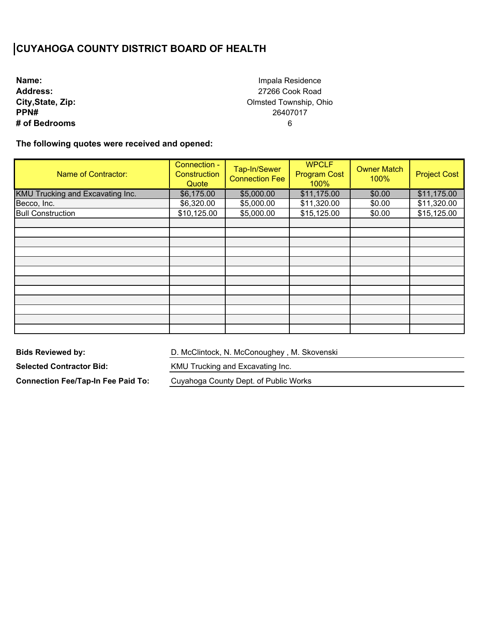**Name: Address: City,State, Zip: PPN# # of Bedrooms**

Impala Residence 27266 Cook Road Olmsted Township, Ohio 26407017 6

**The following quotes were received and opened:** 

| Name of Contractor:              | Connection -<br>Construction<br>Quote | Tap-In/Sewer<br><b>Connection Fee</b> | <b>WPCLF</b><br><b>Program Cost</b><br>100% | <b>Owner Match</b><br>100% | <b>Project Cost</b> |
|----------------------------------|---------------------------------------|---------------------------------------|---------------------------------------------|----------------------------|---------------------|
| KMU Trucking and Excavating Inc. | \$6,175.00                            | \$5,000.00                            | \$11,175.00                                 | \$0.00                     | \$11,175.00         |
| Becco, Inc.                      | \$6,320.00                            | \$5,000.00                            | \$11,320.00                                 | \$0.00                     | \$11,320.00         |
| <b>Bull Construction</b>         | \$10,125.00                           | \$5,000.00                            | \$15,125.00                                 | \$0.00                     | \$15,125.00         |
|                                  |                                       |                                       |                                             |                            |                     |
|                                  |                                       |                                       |                                             |                            |                     |
|                                  |                                       |                                       |                                             |                            |                     |
|                                  |                                       |                                       |                                             |                            |                     |
|                                  |                                       |                                       |                                             |                            |                     |
|                                  |                                       |                                       |                                             |                            |                     |
|                                  |                                       |                                       |                                             |                            |                     |
|                                  |                                       |                                       |                                             |                            |                     |
|                                  |                                       |                                       |                                             |                            |                     |
|                                  |                                       |                                       |                                             |                            |                     |
|                                  |                                       |                                       |                                             |                            |                     |
|                                  |                                       |                                       |                                             |                            |                     |

**Bids Reviewed by:** 

D. McClintock, N. McConoughey , M. Skovenski

**Selected Contractor Bid:** 

**Connection Fee/Tap-In Fee Paid To:** 

KMU Trucking and Excavating Inc.

Cuyahoga County Dept. of Public Works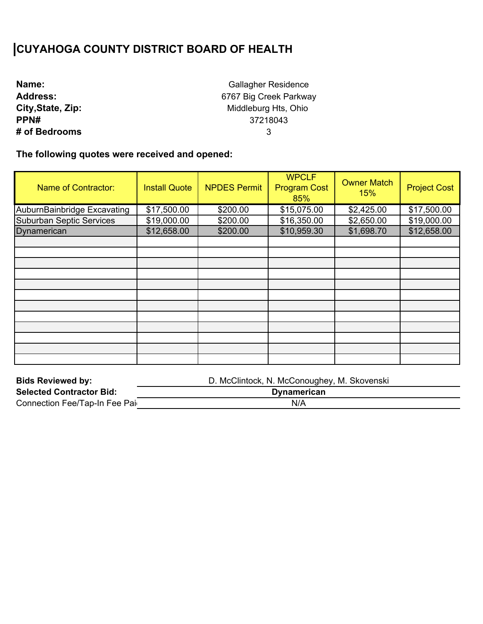| Name:             |
|-------------------|
| <b>Address:</b>   |
| City, State, Zip: |
| PPN#              |
| # of Bedrooms     |

Gallagher Residence 6767 Big Creek Parkway Middleburg Hts, Ohio 37218043 3

| <b>Name of Contractor:</b>      | <b>Install Quote</b> | <b>NPDES Permit</b> | <b>WPCLF</b><br><b>Program Cost</b><br>85% | <b>Owner Match</b><br>15% | <b>Project Cost</b> |
|---------------------------------|----------------------|---------------------|--------------------------------------------|---------------------------|---------------------|
| AuburnBainbridge Excavating     | \$17,500.00          | \$200.00            | \$15,075.00                                | \$2,425.00                | \$17,500.00         |
| <b>Suburban Septic Services</b> | \$19,000.00          | \$200.00            | \$16,350.00                                | \$2,650.00                | \$19,000.00         |
| Dynamerican                     | \$12,658.00          | \$200.00            | \$10,959.30                                | \$1,698.70                | \$12,658.00         |
|                                 |                      |                     |                                            |                           |                     |
|                                 |                      |                     |                                            |                           |                     |
|                                 |                      |                     |                                            |                           |                     |
|                                 |                      |                     |                                            |                           |                     |
|                                 |                      |                     |                                            |                           |                     |
|                                 |                      |                     |                                            |                           |                     |
|                                 |                      |                     |                                            |                           |                     |
|                                 |                      |                     |                                            |                           |                     |
|                                 |                      |                     |                                            |                           |                     |
|                                 |                      |                     |                                            |                           |                     |
|                                 |                      |                     |                                            |                           |                     |
|                                 |                      |                     |                                            |                           |                     |

| <b>Bids Reviewed by:</b>        | D. McClintock, N. McConoughey, M. Skovenski |
|---------------------------------|---------------------------------------------|
| <b>Selected Contractor Bid:</b> | <b>Dynamerican</b>                          |
| Connection Fee/Tap-In Fee Pai   | N/A                                         |